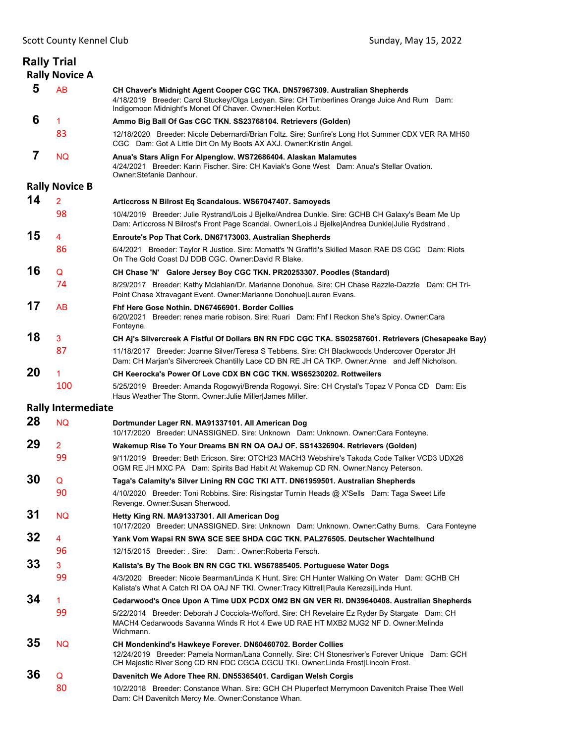**Rally Trial** 

|    | <b>Rally Novice A</b>     |                                                                                                                                                                                                                                                    |
|----|---------------------------|----------------------------------------------------------------------------------------------------------------------------------------------------------------------------------------------------------------------------------------------------|
| 5  | AB                        | CH Chaver's Midnight Agent Cooper CGC TKA. DN57967309. Australian Shepherds<br>4/18/2019 Breeder: Carol Stuckey/Olga Ledyan. Sire: CH Timberlines Orange Juice And Rum Dam:<br>Indigomoon Midnight's Monet Of Chaver. Owner: Helen Korbut.         |
| 6  | 1                         | Ammo Big Ball Of Gas CGC TKN. SS23768104. Retrievers (Golden)                                                                                                                                                                                      |
|    | 83                        | 12/18/2020 Breeder: Nicole Debernardi/Brian Foltz. Sire: Sunfire's Long Hot Summer CDX VER RA MH50<br>CGC Dam: Got A Little Dirt On My Boots AX AXJ. Owner: Kristin Angel.                                                                         |
| 7  | NQ.                       | Anua's Stars Align For Alpenglow. WS72686404. Alaskan Malamutes<br>4/24/2021 Breeder: Karin Fischer. Sire: CH Kaviak's Gone West Dam: Anua's Stellar Ovation.<br>Owner: Stefanie Danhour.                                                          |
|    | <b>Rally Novice B</b>     |                                                                                                                                                                                                                                                    |
| 14 | $\overline{2}$            | Articcross N Bilrost Eq Scandalous. WS67047407. Samoyeds                                                                                                                                                                                           |
|    | 98                        | 10/4/2019 Breeder: Julie Rystrand/Lois J Bjelke/Andrea Dunkle. Sire: GCHB CH Galaxy's Beam Me Up<br>Dam: Articcross N Bilrost's Front Page Scandal. Owner:Lois J Bjelke Andrea Dunkle Julie Rydstrand.                                             |
| 15 | 4                         | Enroute's Pop That Cork. DN67173003. Australian Shepherds                                                                                                                                                                                          |
|    | 86                        | 6/4/2021 Breeder: Taylor R Justice. Sire: Mcmatt's 'N Graffiti's Skilled Mason RAE DS CGC Dam: Riots<br>On The Gold Coast DJ DDB CGC, Owner:David R Blake,                                                                                         |
| 16 | Q                         | CH Chase 'N' Galore Jersey Boy CGC TKN. PR20253307. Poodles (Standard)                                                                                                                                                                             |
|    | 74                        | 8/29/2017 Breeder: Kathy Mclahlan/Dr. Marianne Donohue. Sire: CH Chase Razzle-Dazzle Dam: CH Tri-<br>Point Chase Xtravagant Event. Owner: Marianne Donohue Lauren Evans.                                                                           |
| 17 | AB                        | Fhf Here Gose Nothin, DN67466901, Border Collies<br>6/20/2021 Breeder: renea marie robison. Sire: Ruari Dam: Fhf I Reckon She's Spicy. Owner: Cara<br>Fonteyne.                                                                                    |
| 18 | 3                         | CH Aj's Silvercreek A Fistful Of Dollars BN RN FDC CGC TKA. SS02587601. Retrievers (Chesapeake Bay)                                                                                                                                                |
|    | 87                        | 11/18/2017 Breeder: Joanne Silver/Teresa S Tebbens. Sire: CH Blackwoods Undercover Operator JH<br>Dam: CH Marjan's Silvercreek Chantilly Lace CD BN RE JH CA TKP. Owner:Anne and Jeff Nicholson.                                                   |
| 20 | 1                         | CH Keerocka's Power Of Love CDX BN CGC TKN, WS65230202, Rottweilers                                                                                                                                                                                |
|    | 100                       | 5/25/2019 Breeder: Amanda Rogowyi/Brenda Rogowyi. Sire: CH Crystal's Topaz V Ponca CD Dam: Eis<br>Haus Weather The Storm. Owner: Julie Miller James Miller.                                                                                        |
|    | <b>Rally Intermediate</b> |                                                                                                                                                                                                                                                    |
| 28 | <b>NQ</b>                 | Dortmunder Lager RN. MA91337101. All American Dog<br>10/17/2020 Breeder: UNASSIGNED. Sire: Unknown Dam: Unknown. Owner:Cara Fonteyne.                                                                                                              |
| 29 | $\overline{2}$            | Wakemup Rise To Your Dreams BN RN OA OAJ OF. SS14326904. Retrievers (Golden)                                                                                                                                                                       |
|    | 99                        | 9/11/2019 Breeder: Beth Ericson. Sire: OTCH23 MACH3 Webshire's Takoda Code Talker VCD3 UDX26<br>OGM RE JH MXC PA Dam: Spirits Bad Habit At Wakemup CD RN. Owner: Nancy Peterson.                                                                   |
| 30 | Q                         | Taga's Calamity's Silver Lining RN CGC TKI ATT. DN61959501. Australian Shepherds                                                                                                                                                                   |
|    | 90                        | 4/10/2020 Breeder: Toni Robbins. Sire: Risingstar Turnin Heads @ X'Sells Dam: Taga Sweet Life<br>Revenge. Owner: Susan Sherwood.                                                                                                                   |
| 31 | <b>NQ</b>                 | Hetty King RN. MA91337301. All American Dog<br>10/17/2020 Breeder: UNASSIGNED. Sire: Unknown Dam: Unknown. Owner:Cathy Burns. Cara Fonteyne                                                                                                        |
| 32 | 4                         | Yank Vom Wapsi RN SWA SCE SEE SHDA CGC TKN. PAL276505. Deutscher Wachtelhund                                                                                                                                                                       |
|    | 96                        | 12/15/2015 Breeder: Sire:<br>Dam: . Owner: Roberta Fersch.                                                                                                                                                                                         |
| 33 | 3                         | Kalista's By The Book BN RN CGC TKI. WS67885405. Portuguese Water Dogs                                                                                                                                                                             |
|    | 99                        | 4/3/2020 Breeder: Nicole Bearman/Linda K Hunt. Sire: CH Hunter Walking On Water Dam: GCHB CH<br>Kalista's What A Catch RI OA OAJ NF TKI. Owner:Tracy Kittrell Paula Kerezsi Linda Hunt.                                                            |
| 34 | 1.                        | Cedarwood's Once Upon A Time UDX PCDX OM2 BN GN VER RI. DN39640408. Australian Shepherds                                                                                                                                                           |
|    | 99                        | 5/22/2014 Breeder: Deborah J Cocciola-Wofford. Sire: CH Revelaire Ez Ryder By Stargate Dam: CH<br>MACH4 Cedarwoods Savanna Winds R Hot 4 Ewe UD RAE HT MXB2 MJG2 NF D. Owner:Melinda<br>Wichmann.                                                  |
| 35 | <b>NQ</b>                 | CH Mondenkind's Hawkeye Forever. DN60460702. Border Collies<br>12/24/2019 Breeder: Pamela Norman/Lana Connelly. Sire: CH Stonesriver's Forever Unique Dam: GCH<br>CH Majestic River Song CD RN FDC CGCA CGCU TKI. Owner:Linda Frost Lincoln Frost. |
| 36 | Q                         | Davenitch We Adore Thee RN. DN55365401. Cardigan Welsh Corgis                                                                                                                                                                                      |
|    | 80                        | 10/2/2018 Breeder: Constance Whan. Sire: GCH CH Pluperfect Merrymoon Davenitch Praise Thee Well<br>Dam: CH Davenitch Mercy Me. Owner: Constance Whan.                                                                                              |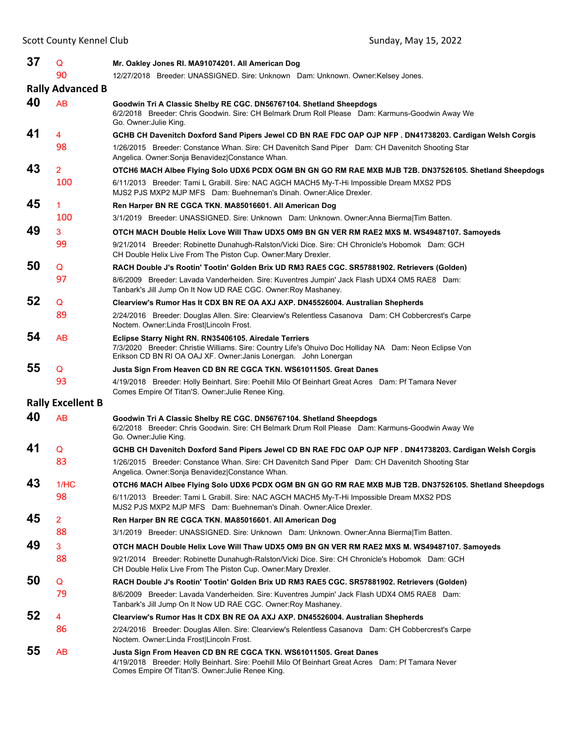| 37 | Q                        | Mr. Oakley Jones RI. MA91074201. All American Dog                                                                                                                                                                                    |
|----|--------------------------|--------------------------------------------------------------------------------------------------------------------------------------------------------------------------------------------------------------------------------------|
|    | 90                       | 12/27/2018 Breeder: UNASSIGNED. Sire: Unknown Dam: Unknown. Owner:Kelsey Jones.                                                                                                                                                      |
|    | <b>Rally Advanced B</b>  |                                                                                                                                                                                                                                      |
| 40 | AB                       | Goodwin Tri A Classic Shelby RE CGC. DN56767104. Shetland Sheepdogs<br>6/2/2018 Breeder: Chris Goodwin. Sire: CH Belmark Drum Roll Please Dam: Karmuns-Goodwin Away We<br>Go. Owner:Julie King.                                      |
| 41 | 4                        | GCHB CH Davenitch Doxford Sand Pipers Jewel CD BN RAE FDC OAP OJP NFP . DN41738203. Cardigan Welsh Corgis                                                                                                                            |
|    | 98                       | 1/26/2015 Breeder: Constance Whan. Sire: CH Davenitch Sand Piper Dam: CH Davenitch Shooting Star<br>Angelica. Owner: Sonja Benavidez Constance Whan.                                                                                 |
| 43 | $\overline{2}$           | OTCH6 MACH Albee Flying Solo UDX6 PCDX OGM BN GN GO RM RAE MXB MJB T2B. DN37526105. Shetland Sheepdogs                                                                                                                               |
|    | 100                      | 6/11/2013 Breeder: Tami L Grabill. Sire: NAC AGCH MACH5 My-T-Hi Impossible Dream MXS2 PDS<br>MJS2 PJS MXP2 MJP MFS Dam: Buehneman's Dinah. Owner:Alice Drexler.                                                                      |
| 45 | 1                        | Ren Harper BN RE CGCA TKN. MA85016601. All American Dog                                                                                                                                                                              |
|    | 100                      | 3/1/2019 Breeder: UNASSIGNED. Sire: Unknown Dam: Unknown. Owner:Anna Bierma Tim Batten.                                                                                                                                              |
| 49 | 3                        | OTCH MACH Double Helix Love Will Thaw UDX5 OM9 BN GN VER RM RAE2 MXS M. WS49487107. Samoyeds                                                                                                                                         |
|    | 99                       | 9/21/2014 Breeder: Robinette Dunahugh-Ralston/Vicki Dice. Sire: CH Chronicle's Hobomok Dam: GCH<br>CH Double Helix Live From The Piston Cup. Owner: Mary Drexler.                                                                    |
| 50 | Q                        | RACH Double J's Rootin' Tootin' Golden Brix UD RM3 RAE5 CGC. SR57881902. Retrievers (Golden)                                                                                                                                         |
|    | 97                       | 8/6/2009 Breeder: Lavada Vanderheiden. Sire: Kuventres Jumpin' Jack Flash UDX4 OM5 RAE8 Dam:<br>Tanbark's Jill Jump On It Now UD RAE CGC. Owner: Roy Mashaney.                                                                       |
| 52 | Q                        | Clearview's Rumor Has It CDX BN RE OA AXJ AXP. DN45526004. Australian Shepherds                                                                                                                                                      |
|    | 89                       | 2/24/2016 Breeder: Douglas Allen. Sire: Clearview's Relentless Casanova Dam: CH Cobbercrest's Carpe<br>Noctem. Owner:Linda Frost Lincoln Frost.                                                                                      |
| 54 | <b>AB</b>                | Eclipse Starry Night RN. RN35406105. Airedale Terriers<br>7/3/2020 Breeder: Christie Williams. Sire: Country Life's Ohuivo Doc Holliday NA Dam: Neon Eclipse Von<br>Erikson CD BN RI OA OAJ XF. Owner: Janis Lonergan. John Lonergan |
| 55 | Q                        | Justa Sign From Heaven CD BN RE CGCA TKN. WS61011505. Great Danes                                                                                                                                                                    |
|    | 93                       | 4/19/2018 Breeder: Holly Beinhart. Sire: Poehill Milo Of Beinhart Great Acres Dam: Pf Tamara Never<br>Comes Empire Of Titan'S. Owner: Julie Renee King.                                                                              |
|    | <b>Rally Excellent B</b> |                                                                                                                                                                                                                                      |
| 40 | <b>AB</b>                | Goodwin Tri A Classic Shelby RE CGC. DN56767104. Shetland Sheepdogs<br>6/2/2018 Breeder: Chris Goodwin. Sire: CH Belmark Drum Roll Please Dam: Karmuns-Goodwin Away We<br>Go. Owner: Julie King.                                     |
| 41 | Q                        | GCHB CH Davenitch Doxford Sand Pipers Jewel CD BN RAE FDC OAP OJP NFP. DN41738203. Cardigan Welsh Corgis                                                                                                                             |
|    | 83                       | 1/26/2015 Breeder: Constance Whan. Sire: CH Davenitch Sand Piper Dam: CH Davenitch Shooting Star<br>Angelica. Owner: Sonja Benavidez Constance Whan.                                                                                 |
| 43 | 1/HC                     | OTCH6 MACH Albee Flying Solo UDX6 PCDX OGM BN GN GO RM RAE MXB MJB T2B. DN37526105. Shetland Sheepdogs                                                                                                                               |
|    | 98                       | 6/11/2013 Breeder: Tami L Grabill. Sire: NAC AGCH MACH5 My-T-Hi Impossible Dream MXS2 PDS<br>MJS2 PJS MXP2 MJP MFS Dam: Buehneman's Dinah. Owner: Alice Drexler.                                                                     |
| 45 | 2                        | Ren Harper BN RE CGCA TKN. MA85016601. All American Dog                                                                                                                                                                              |
|    | 88                       | 3/1/2019 Breeder: UNASSIGNED. Sire: Unknown Dam: Unknown. Owner:Anna Bierma Tim Batten.                                                                                                                                              |
| 49 | 3                        | OTCH MACH Double Helix Love Will Thaw UDX5 OM9 BN GN VER RM RAE2 MXS M. WS49487107. Samoyeds                                                                                                                                         |
|    | 88                       | 9/21/2014 Breeder: Robinette Dunahugh-Ralston/Vicki Dice. Sire: CH Chronicle's Hobomok Dam: GCH<br>CH Double Helix Live From The Piston Cup. Owner: Mary Drexler.                                                                    |
| 50 | Q                        | RACH Double J's Rootin' Tootin' Golden Brix UD RM3 RAE5 CGC. SR57881902. Retrievers (Golden)                                                                                                                                         |
|    | 79                       | 8/6/2009 Breeder: Lavada Vanderheiden. Sire: Kuventres Jumpin' Jack Flash UDX4 OM5 RAE8 Dam:<br>Tanbark's Jill Jump On It Now UD RAE CGC. Owner: Roy Mashaney.                                                                       |
| 52 | 4                        | Clearview's Rumor Has It CDX BN RE OA AXJ AXP. DN45526004. Australian Shepherds                                                                                                                                                      |
|    | 86                       | 2/24/2016 Breeder: Douglas Allen. Sire: Clearview's Relentless Casanova Dam: CH Cobbercrest's Carpe<br>Noctem. Owner:Linda Frost Lincoln Frost.                                                                                      |
| 55 | AB                       | Justa Sign From Heaven CD BN RE CGCA TKN. WS61011505. Great Danes<br>4/19/2018 Breeder: Holly Beinhart. Sire: Poehill Milo Of Beinhart Great Acres Dam: Pf Tamara Never<br>Comes Empire Of Titan'S. Owner: Julie Renee King.         |